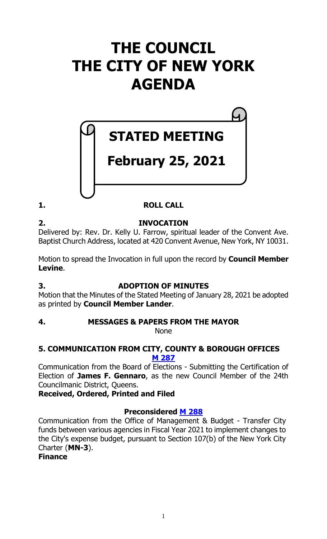# **THE COUNCIL THE CITY OF NEW YORK AGENDA**

# **STATED MEETING**

# **February 25, 2021**

**1. ROLL CALL**

**2. INVOCATION** Delivered by: Rev. Dr. Kelly U. Farrow, spiritual leader of the Convent Ave. Baptist Church Address, located at 420 Convent Avenue, New York, NY 10031.

Motion to spread the Invocation in full upon the record by **Council Member Levine**.

### **3. ADOPTION OF MINUTES**

Motion that the Minutes of the Stated Meeting of January 28, 2021 be adopted as printed by **Council Member Lander**.

### **4. MESSAGES & PAPERS FROM THE MAYOR**

None

#### **5. COMMUNICATION FROM CITY, COUNTY & BOROUGH OFFICES M [287](https://legistar.council.nyc.gov/LegislationDetail.aspx?ID=4808708&GUID=CED33082-ED1B-4552-842C-1F5FDE88C3FC&Options=ID|Text|&Search=)**

Communication from the Board of Elections - Submitting the Certification of Election of **James F. Gennaro**, as the new Council Member of the 24th Councilmanic District, Queens.

**Received, Ordered, Printed and Filed**

### **Preconsidered M [288](https://legistar.council.nyc.gov/LegislationDetail.aspx?ID=4801488&GUID=3C0DD46E-8E52-4DA2-BCE5-493BFF4277BE&Options=ID|Text|&Search=)**

Communication from the Office of Management & Budget - Transfer City funds between various agencies in Fiscal Year 2021 to implement changes to the City's expense budget, pursuant to Section 107(b) of the New York City Charter (**MN-3**).

#### **Finance**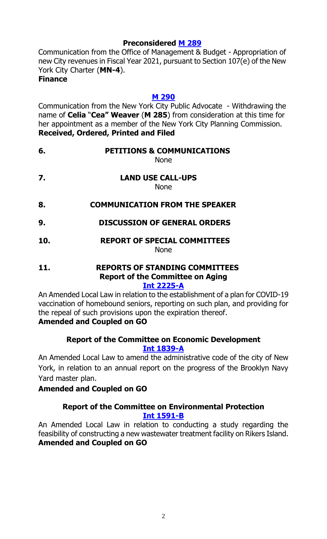#### **Preconsidered M [289](https://legistar.council.nyc.gov/LegislationDetail.aspx?ID=4801489&GUID=16CE20F1-83C4-474E-A470-C42962A95C93&Options=ID|Text|&Search=)**

Communication from the Office of Management & Budget - Appropriation of new City revenues in Fiscal Year 2021, pursuant to Section 107(e) of the New York City Charter (**MN-4**).

#### **Finance**

#### **M [290](https://legistar.council.nyc.gov/LegislationDetail.aspx?ID=4808709&GUID=6DD390DA-D973-4D99-9515-D525E7B8529A&Options=ID|Text|&Search=)**

Communication from the New York City Public Advocate - Withdrawing the name of **Celia** "**Cea" Weaver** (**M 285**) from consideration at this time for her appointment as a member of the New York City Planning Commission. **Received, Ordered, Printed and Filed**

| 6. | <b>PETITIONS &amp; COMMUNICATIONS</b> |
|----|---------------------------------------|
|    | None                                  |

None

**7. LAND USE CALL-UPS**

None

- **8. COMMUNICATION FROM THE SPEAKER**
- **9. DISCUSSION OF GENERAL ORDERS**

#### **10. REPORT OF SPECIAL COMMITTEES** None

#### **11. REPORTS OF STANDING COMMITTEES Report of the Committee on Aging Int [2225-A](https://legistar.council.nyc.gov/LegislationDetail.aspx?ID=4794733&GUID=07D62EEB-0709-464C-9031-E1EBEA15CBF6&Options=&Search=)**

An Amended Local Law in relation to the establishment of a plan for COVID-19 vaccination of homebound seniors, reporting on such plan, and providing for the repeal of such provisions upon the expiration thereof. **Amended and Coupled on GO**

#### **Report of the Committee on Economic Development [Int 1839-A](https://legistar.council.nyc.gov/LegislationDetail.aspx?ID=4286227&GUID=57124C81-1DB3-402C-B2DE-6B34E59AB725&Options=&Search=)**

An Amended Local Law to amend the administrative code of the city of New York, in relation to an annual report on the progress of the Brooklyn Navy Yard master plan.

#### **Amended and Coupled on GO**

#### **Report of the Committee on Environmental Protection [Int 1591-B](https://legistar.council.nyc.gov/LegislationDetail.aspx?ID=3983007&GUID=D7B397CD-49EA-4ECE-9C32-1493AB8F0C21&Options=&Search=)**

An Amended Local Law in relation to conducting a study regarding the feasibility of constructing a new wastewater treatment facility on Rikers Island. **Amended and Coupled on GO**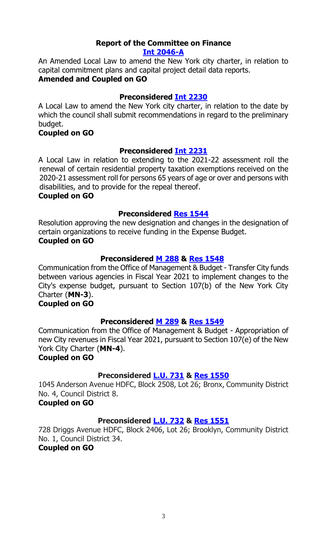#### **Report of the Committee on Finance [Int 2046-A](https://legistar.council.nyc.gov/LegislationDetail.aspx?ID=4624858&GUID=F53D5D3B-5D23-4F08-822F-F4C9904CCE49&Options=&Search=)**

An Amended Local Law to amend the New York city charter, in relation to capital commitment plans and capital project detail data reports. **Amended and Coupled on GO**

#### **Preconsidered Int [2230](https://legistar.council.nyc.gov/LegislationDetail.aspx?ID=4806325&GUID=2E053009-925B-4881-BA1D-AF403E6C101F&Options=&Search=)**

A Local Law to amend the New York city charter, in relation to the date by which the council shall submit recommendations in regard to the preliminary budget.

#### **Coupled on GO**

#### **Preconsidered Int [2231](https://legistar.council.nyc.gov/LegislationDetail.aspx?ID=4806326&GUID=F7522510-845C-402F-8B59-A8481C640E52&Options=&Search=)**

A Local Law in relation to extending to the 2021-22 assessment roll the renewal of certain residential property taxation exemptions received on the 2020-21 assessment roll for persons 65 years of age or over and persons with disabilities, and to provide for the repeal thereof.

#### **Coupled on GO**

#### **Preconsidered Res [1544](https://legistar.council.nyc.gov/LegislationDetail.aspx?ID=4801474&GUID=5B588D58-E9B0-4B62-AAF2-550157B75E00&Options=&Search=)**

Resolution approving the new designation and changes in the designation of certain organizations to receive funding in the Expense Budget.

#### **Coupled on GO**

#### **Preconsidered M [288](https://legistar.council.nyc.gov/LegislationDetail.aspx?ID=4801488&GUID=3C0DD46E-8E52-4DA2-BCE5-493BFF4277BE&Options=ID|Text|&Search=) & Res [1548](https://legistar.council.nyc.gov/LegislationDetail.aspx?ID=4808821&GUID=078BAC94-F561-4DC4-A69C-25E660C35CD1&Options=ID|Text|&Search=)**

Communication from the Office of Management & Budget - Transfer City funds between various agencies in Fiscal Year 2021 to implement changes to the City's expense budget, pursuant to Section 107(b) of the New York City Charter (**MN-3**).

#### **Coupled on GO**

#### **Preconsidered M [289](https://legistar.council.nyc.gov/LegislationDetail.aspx?ID=4801489&GUID=16CE20F1-83C4-474E-A470-C42962A95C93&Options=ID|Text|&Search=) & Res [1549](https://legistar.council.nyc.gov/LegislationDetail.aspx?ID=4808822&GUID=78447969-9F91-438A-8828-328FE1EA70DF&Options=ID|Text|&Search=)**

Communication from the Office of Management & Budget - Appropriation of new City revenues in Fiscal Year 2021, pursuant to Section 107(e) of the New York City Charter (**MN-4**).

#### **Coupled on GO**

#### **Preconsidered [L.U.](https://legistar.council.nyc.gov/LegislationDetail.aspx?ID=4806327&GUID=2E1D1D31-13B8-4ECD-8A43-6C357F8FF0CE&Options=&Search=) 731 & Res [1550](https://legistar.council.nyc.gov/LegislationDetail.aspx?ID=4808823&GUID=711E629A-0913-4CE7-AA7F-C86FDACE37B9&Options=ID|Text|&Search=)**

1045 Anderson Avenue HDFC, Block 2508, Lot 26; Bronx, Community District No. 4, Council District 8.

#### **Coupled on GO**

#### **Preconsidered [L.U.](https://legistar.council.nyc.gov/LegislationDetail.aspx?ID=4806339&GUID=A47CFDCC-E73D-42AD-8EE5-11B6CF3BF1DA&Options=&Search=) 732 & Res [1551](https://legistar.council.nyc.gov/LegislationDetail.aspx?ID=4808824&GUID=0FDBE19C-417C-4FE6-B67B-A6EF46CA5EE6&Options=ID|Text|&Search=)**

728 Driggs Avenue HDFC, Block 2406, Lot 26; Brooklyn, Community District No. 1, Council District 34.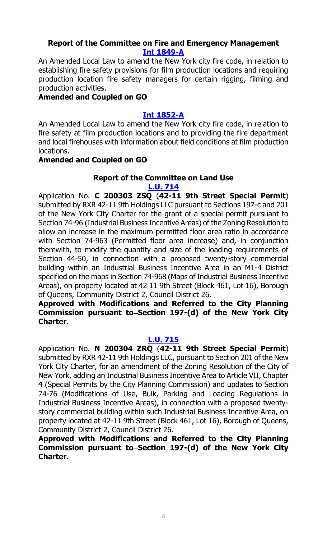#### **Report of the Committee on Fire and Emergency Management [Int 1849-A](https://legistar.council.nyc.gov/LegislationDetail.aspx?ID=4313334&GUID=3766A760-1CB7-4B46-9D38-A72C315FCF51&Options=&Search=)**

An Amended Local Law to amend the New York city fire code, in relation to establishing fire safety provisions for film production locations and requiring production location fire safety managers for certain rigging, filming and production activities.

#### **Amended and Coupled on GO**

#### **[Int 1852-A](https://legistar.council.nyc.gov/LegislationDetail.aspx?ID=4313348&GUID=AB296F1D-369C-4C45-8F33-5428CECBD1E0&Options=&Search=)**

An Amended Local Law to amend the New York city fire code, in relation to fire safety at film production locations and to providing the fire department and local firehouses with information about field conditions at film production locations.

#### **Amended and Coupled on GO**

### **Report of the Committee on Land Use**

#### **[L.U. 714](https://legistar.council.nyc.gov/LegislationDetail.aspx?ID=4743805&GUID=91DAF792-5431-49AA-929D-9D1D51DDD81F&Options=&Search=)**

Application No. **C 200303 ZSQ** (**42-11 9th Street Special Permit**) submitted by RXR 42-11 9th Holdings LLC pursuant to Sections 197-c and 201 of the New York City Charter for the grant of a special permit pursuant to Section 74-96 (Industrial Business Incentive Areas) of the Zoning Resolution to allow an increase in the maximum permitted floor area ratio in accordance with Section 74-963 (Permitted floor area increase) and, in conjunction therewith, to modify the quantity and size of the loading requirements of Section 44-50, in connection with a proposed twenty-story commercial building within an Industrial Business Incentive Area in an M1-4 District specified on the maps in Section 74-968 (Maps of Industrial Business Incentive Areas), on property located at 42 11 9th Street (Block 461, Lot 16), Borough of Queens, Community District 2, Council District 26.

#### **Approved with Modifications and Referred to the City Planning**  Commission pursuant to–Section 197-(d) of the New York City **Charter.**

#### **[L.U. 715](https://legistar.council.nyc.gov/LegislationDetail.aspx?ID=4743806&GUID=256C791F-173E-4255-A3EF-1367E6D6CD20&Options=&Search=)**

Application No. **N 200304 ZRQ** (**42-11 9th Street Special Permit**) submitted by RXR 42-11 9th Holdings LLC, pursuant to Section 201 of the New York City Charter, for an amendment of the Zoning Resolution of the City of New York, adding an Industrial Business Incentive Area to Article VII, Chapter 4 (Special Permits by the City Planning Commission) and updates to Section 74-76 (Modifications of Use, Bulk, Parking and Loading Regulations in Industrial Business Incentive Areas), in connection with a proposed twentystory commercial building within such Industrial Business Incentive Area, on property located at 42-11 9th Street (Block 461, Lot 16), Borough of Queens, Community District 2, Council District 26.

**Approved with Modifications and Referred to the City Planning Commission pursuant to Section 197-(d) of the New York City Charter.**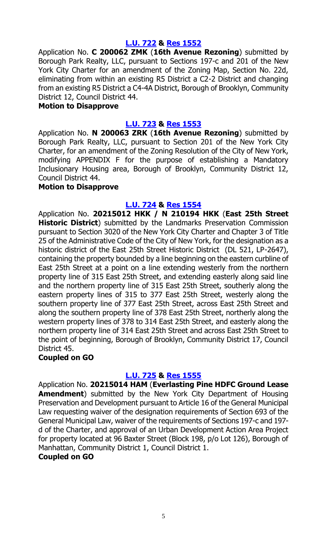#### **[L.U. 722](https://legistar.council.nyc.gov/LegislationDetail.aspx?ID=4754251&GUID=262D287F-976E-4848-845D-4A7C219804CC&Options=&Search=) & [Res 1552](https://legistar.council.nyc.gov/LegislationDetail.aspx?ID=4807413&GUID=B3E609F4-3DBF-42C0-8F02-8C5D534D6087&Options=ID|Text|&Search=)**

Application No. **C 200062 ZMK** (**16th Avenue Rezoning**) submitted by Borough Park Realty, LLC, pursuant to Sections 197-c and 201 of the New York City Charter for an amendment of the Zoning Map, Section No. 22d, eliminating from within an existing R5 District a C2-2 District and changing from an existing R5 District a C4-4A District, Borough of Brooklyn, Community District 12, Council District 44.

#### **Motion to Disapprove**

#### **[L.U. 723](https://legistar.council.nyc.gov/LegislationDetail.aspx?ID=4754252&GUID=03F70509-BE68-42EF-8DF3-C013789C00AD&Options=&Search=) & [Res 1553](https://legistar.council.nyc.gov/LegislationDetail.aspx?ID=4807414&GUID=5214026A-FBE7-4E35-A2A1-259D4C6D9D19&Options=ID|Text|&Search=)**

Application No. **N 200063 ZRK** (**16th Avenue Rezoning**) submitted by Borough Park Realty, LLC, pursuant to Section 201 of the New York City Charter, for an amendment of the Zoning Resolution of the City of New York, modifying APPENDIX F for the purpose of establishing a Mandatory Inclusionary Housing area, Borough of Brooklyn, Community District 12, Council District 44.

#### **Motion to Disapprove**

#### **[L.U. 724](https://legistar.council.nyc.gov/LegislationDetail.aspx?ID=4766865&GUID=548F42FC-CB89-474B-880E-26C3828AEDBB&Options=&Search=) & [Res 1554](https://legistar.council.nyc.gov/LegislationDetail.aspx?ID=4807421&GUID=42BD1739-DC8C-4B1E-BB25-13E9938147B5&Options=ID|Text|&Search=)**

Application No. **20215012 HKK / N 210194 HKK** (**East 25th Street Historic District**) submitted by the Landmarks Preservation Commission pursuant to Section 3020 of the New York City Charter and Chapter 3 of Title 25 of the Administrative Code of the City of New York, for the designation as a historic district of the East 25th Street Historic District (DL 521, LP-2647), containing the property bounded by a line beginning on the eastern curbline of East 25th Street at a point on a line extending westerly from the northern property line of 315 East 25th Street, and extending easterly along said line and the northern property line of 315 East 25th Street, southerly along the eastern property lines of 315 to 377 East 25th Street, westerly along the southern property line of 377 East 25th Street, across East 25th Street and along the southern property line of 378 East 25th Street, northerly along the western property lines of 378 to 314 East 25th Street, and easterly along the northern property line of 314 East 25th Street and across East 25th Street to the point of beginning, Borough of Brooklyn, Community District 17, Council District 45.

#### **Coupled on GO**

#### **[L.U. 725](https://legistar.council.nyc.gov/LegislationDetail.aspx?ID=4766866&GUID=2DA5A86B-D4AD-4D7F-928E-882FE5F3FE4D&Options=&Search=) & [Res 1555](https://legistar.council.nyc.gov/LegislationDetail.aspx?ID=4807424&GUID=A324C9C0-01D7-4E66-9CC9-AA7A7086A1F9&Options=ID|Text|&Search=)**

Application No. **20215014 HAM** (**Everlasting Pine HDFC Ground Lease Amendment**) submitted by the New York City Department of Housing Preservation and Development pursuant to Article 16 of the General Municipal Law requesting waiver of the designation requirements of Section 693 of the General Municipal Law, waiver of the requirements of Sections 197-c and 197 d of the Charter, and approval of an Urban Development Action Area Project for property located at 96 Baxter Street (Block 198, p/o Lot 126), Borough of Manhattan, Community District 1, Council District 1.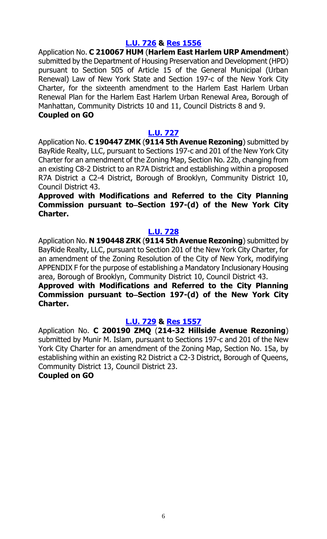#### **[L.U. 726](https://legistar.council.nyc.gov/LegislationDetail.aspx?ID=4791267&GUID=F34C12C6-B362-4FC7-BDEC-A27DE0245D9C&Options=&Search=) & [Res 1556](https://legistar.council.nyc.gov/LegislationDetail.aspx?ID=4807425&GUID=E4C84D2F-4AB1-4D32-AA20-28A85E8621DC&Options=ID|Text|&Search=)**

Application No. **C 210067 HUM** (**Harlem East Harlem URP Amendment**) submitted by the Department of Housing Preservation and Development (HPD) pursuant to Section 505 of Article 15 of the General Municipal (Urban Renewal) Law of New York State and Section 197-c of the New York City Charter, for the sixteenth amendment to the Harlem East Harlem Urban Renewal Plan for the Harlem East Harlem Urban Renewal Area, Borough of Manhattan, Community Districts 10 and 11, Council Districts 8 and 9. **Coupled on GO**

#### **[L.U. 727](https://legistar.council.nyc.gov/LegislationDetail.aspx?ID=4793033&GUID=202884D9-D81A-4C69-B829-6D893CD41CB6&Options=&Search=)**

Application No. **C 190447 ZMK** (**9114 5th Avenue Rezoning**) submitted by BayRide Realty, LLC, pursuant to Sections 197-c and 201 of the New York City Charter for an amendment of the Zoning Map, Section No. 22b, changing from an existing C8-2 District to an R7A District and establishing within a proposed R7A District a C2-4 District, Borough of Brooklyn, Community District 10, Council District 43.

**Approved with Modifications and Referred to the City Planning**  Commission pursuant to–Section 197-(d) of the New York City **Charter.**

#### **[L.U. 728](https://legistar.council.nyc.gov/LegislationDetail.aspx?ID=4793034&GUID=4878CD45-0368-4719-93B5-B5ED72E0DEEE&Options=&Search=)**

Application No. **N 190448 ZRK** (**9114 5th Avenue Rezoning**) submitted by BayRide Realty, LLC, pursuant to Section 201 of the New York City Charter, for an amendment of the Zoning Resolution of the City of New York, modifying APPENDIX F for the purpose of establishing a Mandatory Inclusionary Housing area, Borough of Brooklyn, Community District 10, Council District 43.

#### **Approved with Modifications and Referred to the City Planning**  Commission pursuant to–Section 197-(d) of the New York City **Charter.**

#### **[L.U. 729](https://legistar.council.nyc.gov/LegislationDetail.aspx?ID=4793035&GUID=F1DB30B0-10AE-4CF1-A1FC-EA7DBD428B7F&Options=&Search=) & [Res 1557](https://legistar.council.nyc.gov/LegislationDetail.aspx?ID=4807428&GUID=66BC6D2E-0B50-4B4B-B8B2-EF2D7012171F&Options=ID|Text|&Search=)**

Application No. **C 200190 ZMQ** (**214-32 Hillside Avenue Rezoning**) submitted by Munir M. Islam, pursuant to Sections 197-c and 201 of the New York City Charter for an amendment of the Zoning Map, Section No. 15a, by establishing within an existing R2 District a C2-3 District, Borough of Queens, Community District 13, Council District 23.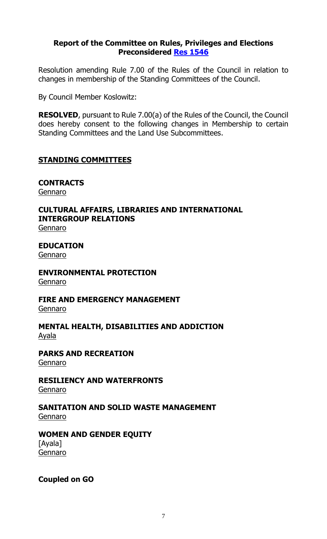#### **Report of the Committee on Rules, Privileges and Elections Preconsidered Res [1546](https://legistar.council.nyc.gov/LegislationDetail.aspx?ID=4805849&GUID=6CC8E887-EEDC-4A01-BA25-CCF2BB549B44&Options=&Search=)**

Resolution amending Rule 7.00 of the Rules of the Council in relation to changes in membership of the Standing Committees of the Council.

By Council Member Koslowitz:

**RESOLVED**, pursuant to Rule 7.00(a) of the Rules of the Council, the Council does hereby consent to the following changes in Membership to certain Standing Committees and the Land Use Subcommittees.

#### **STANDING COMMITTEES**

**CONTRACTS** Gennaro

## **CULTURAL AFFAIRS, LIBRARIES AND INTERNATIONAL INTERGROUP RELATIONS**

Gennaro

**EDUCATION** Gennaro

## **ENVIRONMENTAL PROTECTION**

Gennaro

# **FIRE AND EMERGENCY MANAGEMENT**

Gennaro

#### **MENTAL HEALTH, DISABILITIES AND ADDICTION**  Ayala

**PARKS AND RECREATION** Gennaro

# **RESILIENCY AND WATERFRONTS**

Gennaro

#### **SANITATION AND SOLID WASTE MANAGEMENT** Gennaro

#### **WOMEN AND GENDER EQUITY** [Ayala]

Gennaro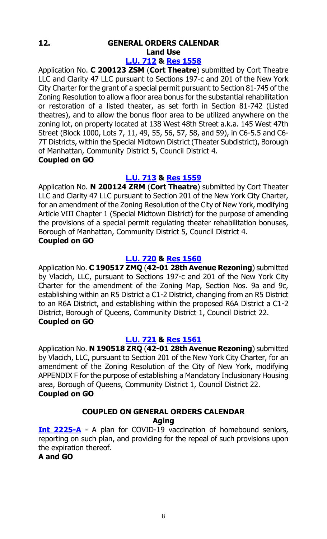### **12. GENERAL ORDERS CALENDAR Land Use**

#### **[L.U. 712](https://legistar.council.nyc.gov/LegislationDetail.aspx?ID=4742937&GUID=48B71E5E-1262-4D3B-997F-695FF0DC207C&Options=&Search=) & Res [1558](https://legistar.council.nyc.gov/LegislationDetail.aspx?ID=4795737&GUID=5D5A7E4F-A1FA-45F2-8A54-C5D62BB3B5B2&Options=ID|Text|&Search=)**

Application No. **C 200123 ZSM** (**Cort Theatre**) submitted by Cort Theatre LLC and Clarity 47 LLC pursuant to Sections 197-c and 201 of the New York City Charter for the grant of a special permit pursuant to Section 81-745 of the Zoning Resolution to allow a floor area bonus for the substantial rehabilitation or restoration of a listed theater, as set forth in Section 81-742 (Listed theatres), and to allow the bonus floor area to be utilized anywhere on the zoning lot, on property located at 138 West 48th Street a.k.a. 145 West 47th Street (Block 1000, Lots 7, 11, 49, 55, 56, 57, 58, and 59), in C6-5.5 and C6- 7T Districts, within the Special Midtown District (Theater Subdistrict), Borough of Manhattan, Community District 5, Council District 4. **Coupled on GO**

#### **[L.U. 713](https://legistar.council.nyc.gov/LegislationDetail.aspx?ID=4742938&GUID=BB51C6CB-E472-4703-803F-1AE38A649A6E&Options=&Search=) & Res [1559](https://legistar.council.nyc.gov/LegislationDetail.aspx?ID=4795738&GUID=CDB59E2D-75EB-4418-941F-2C18E871A315&Options=ID|Text|&Search=)**

Application No. **N 200124 ZRM** (**Cort Theatre**) submitted by Cort Theater LLC and Clarity 47 LLC pursuant to Section 201 of the New York City Charter, for an amendment of the Zoning Resolution of the City of New York, modifying Article VIII Chapter 1 (Special Midtown District) for the purpose of amending the provisions of a special permit regulating theater rehabilitation bonuses, Borough of Manhattan, Community District 5, Council District 4.

#### **Coupled on GO**

#### **[L.U. 720](https://legistar.council.nyc.gov/LegislationDetail.aspx?ID=4754171&GUID=3788692B-A867-49BD-A512-70FEA25242C3&Options=&Search=) & Res [1560](https://legistar.council.nyc.gov/LegislationDetail.aspx?ID=4795739&GUID=3DA8412E-AB77-4E25-8DB9-FC3B8F83FE17&Options=ID|Text|&Search=)**

Application No. **C 190517 ZMQ** (**42-01 28th Avenue Rezoning**) submitted by Vlacich, LLC, pursuant to Sections 197-c and 201 of the New York City Charter for the amendment of the Zoning Map, Section Nos. 9a and 9c, establishing within an R5 District a C1-2 District, changing from an R5 District to an R6A District, and establishing within the proposed R6A District a C1-2 District, Borough of Queens, Community District 1, Council District 22. **Coupled on GO**

#### **[L.U. 721](https://legistar.council.nyc.gov/LegislationDetail.aspx?ID=4754172&GUID=F775724C-E3C9-4A57-9CE6-20DEF8DC7AF6&Options=&Search=) & Res [1561](https://legistar.council.nyc.gov/LegislationDetail.aspx?ID=4795740&GUID=01FB1221-7D15-4017-AE69-D38310FC713A&Options=ID|Text|&Search=)**

Application No. **N 190518 ZRQ** (**42-01 28th Avenue Rezoning**) submitted by Vlacich, LLC, pursuant to Section 201 of the New York City Charter, for an amendment of the Zoning Resolution of the City of New York, modifying APPENDIX F for the purpose of establishing a Mandatory Inclusionary Housing area, Borough of Queens, Community District 1, Council District 22. **Coupled on GO**

#### **COUPLED ON GENERAL ORDERS CALENDAR Aging**

**[Int 2225-A](https://legistar.council.nyc.gov/LegislationDetail.aspx?ID=4794733&GUID=07D62EEB-0709-464C-9031-E1EBEA15CBF6&Options=&Search=)** - A plan for COVID-19 vaccination of homebound seniors, reporting on such plan, and providing for the repeal of such provisions upon the expiration thereof.

#### **A and GO**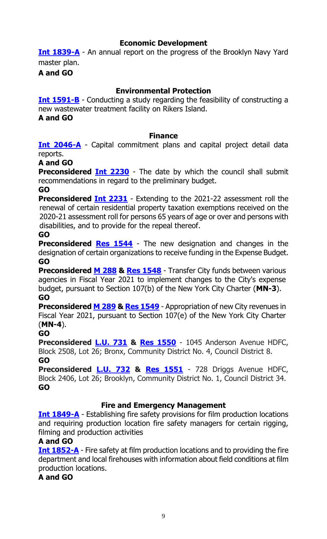#### **Economic Development**

**[Int 1839-A](https://legistar.council.nyc.gov/LegislationDetail.aspx?ID=4286227&GUID=57124C81-1DB3-402C-B2DE-6B34E59AB725&Options=&Search=)** - An annual report on the progress of the Brooklyn Navy Yard master plan.

**A and GO**

#### **Environmental Protection**

**[Int 1591-B](https://legistar.council.nyc.gov/LegislationDetail.aspx?ID=3983007&GUID=D7B397CD-49EA-4ECE-9C32-1493AB8F0C21&Options=&Search=)** - Conducting a study regarding the feasibility of constructing a new wastewater treatment facility on Rikers Island.

**A and GO**

#### **Finance**

**[Int 2046-A](https://legistar.council.nyc.gov/LegislationDetail.aspx?ID=4624858&GUID=F53D5D3B-5D23-4F08-822F-F4C9904CCE49&Options=&Search=)** - Capital commitment plans and capital project detail data reports.

#### **A and GO**

**Preconsidered [Int 2230](https://legistar.council.nyc.gov/LegislationDetail.aspx?ID=4806325&GUID=2E053009-925B-4881-BA1D-AF403E6C101F&Options=&Search=)** - The date by which the council shall submit recommendations in regard to the preliminary budget.

#### **GO**

**Preconsidered [Int 2231](https://legistar.council.nyc.gov/LegislationDetail.aspx?ID=4806326&GUID=F7522510-845C-402F-8B59-A8481C640E52&Options=&Search=)** - Extending to the 2021-22 assessment roll the renewal of certain residential property taxation exemptions received on the 2020-21 assessment roll for persons 65 years of age or over and persons with disabilities, and to provide for the repeal thereof.

#### **GO**

**Preconsidered [Res 1544](https://legistar.council.nyc.gov/LegislationDetail.aspx?ID=4801474&GUID=5B588D58-E9B0-4B62-AAF2-550157B75E00&Options=&Search=)** - The new designation and changes in the designation of certain organizations to receive funding in the Expense Budget. **GO**

**Preconsidered [M 288](https://legistar.council.nyc.gov/LegislationDetail.aspx?ID=4801488&GUID=3C0DD46E-8E52-4DA2-BCE5-493BFF4277BE&Options=ID|Text|&Search=) & [Res 1548](https://legistar.council.nyc.gov/LegislationDetail.aspx?ID=4808821&GUID=078BAC94-F561-4DC4-A69C-25E660C35CD1&Options=ID|Text|&Search=)** - Transfer City funds between various agencies in Fiscal Year 2021 to implement changes to the City's expense budget, pursuant to Section 107(b) of the New York City Charter (**MN-3**). **GO**

**Preconsidered [M 289](https://legistar.council.nyc.gov/LegislationDetail.aspx?ID=4801489&GUID=16CE20F1-83C4-474E-A470-C42962A95C93&Options=ID|Text|&Search=) & [Res 1549](https://legistar.council.nyc.gov/LegislationDetail.aspx?ID=4808822&GUID=78447969-9F91-438A-8828-328FE1EA70DF&Options=ID|Text|&Search=)** - Appropriation of new City revenues in Fiscal Year 2021, pursuant to Section 107(e) of the New York City Charter (**MN-4**).

#### **GO**

**Preconsidered [L.U. 731](https://legistar.council.nyc.gov/LegislationDetail.aspx?ID=4806327&GUID=2E1D1D31-13B8-4ECD-8A43-6C357F8FF0CE&Options=&Search=) & Res [1550](https://legistar.council.nyc.gov/LegislationDetail.aspx?ID=4808823&GUID=711E629A-0913-4CE7-AA7F-C86FDACE37B9&Options=ID|Text|&Search=)** - 1045 Anderson Avenue HDFC, Block 2508, Lot 26; Bronx, Community District No. 4, Council District 8. **GO**

**Preconsidered [L.U. 732](https://legistar.council.nyc.gov/LegislationDetail.aspx?ID=4806339&GUID=A47CFDCC-E73D-42AD-8EE5-11B6CF3BF1DA&Options=&Search=) & Res [1551](https://legistar.council.nyc.gov/LegislationDetail.aspx?ID=4808824&GUID=0FDBE19C-417C-4FE6-B67B-A6EF46CA5EE6&Options=ID|Text|&Search=)** - 728 Driggs Avenue HDFC, Block 2406, Lot 26; Brooklyn, Community District No. 1, Council District 34. **GO**

#### **Fire and Emergency Management**

**[Int 1849-A](https://legistar.council.nyc.gov/LegislationDetail.aspx?ID=4313334&GUID=3766A760-1CB7-4B46-9D38-A72C315FCF51&Options=&Search=)** - Establishing fire safety provisions for film production locations and requiring production location fire safety managers for certain rigging, filming and production activities

#### **A and GO**

**[Int 1852-A](https://legistar.council.nyc.gov/LegislationDetail.aspx?ID=4313348&GUID=AB296F1D-369C-4C45-8F33-5428CECBD1E0&Options=&Search=)** - Fire safety at film production locations and to providing the fire department and local firehouses with information about field conditions at film production locations.

**A and GO**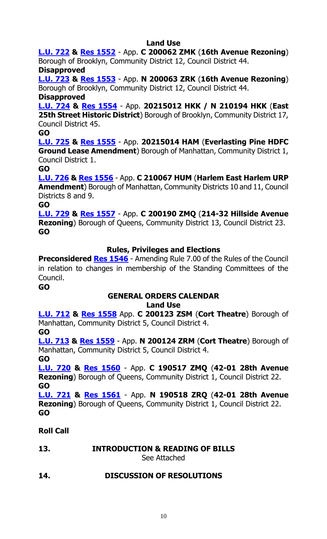### **Land Use**

**[L.U. 722](https://legistar.council.nyc.gov/LegislationDetail.aspx?ID=4754251&GUID=262D287F-976E-4848-845D-4A7C219804CC&Options=&Search=) & [Res 1552](https://legistar.council.nyc.gov/LegislationDetail.aspx?ID=4807413&GUID=B3E609F4-3DBF-42C0-8F02-8C5D534D6087&Options=ID|Text|&Search=)** - App. **C 200062 ZMK** (**16th Avenue Rezoning**) Borough of Brooklyn, Community District 12, Council District 44.

#### **Disapproved**

**[L.U. 723](https://legistar.council.nyc.gov/LegislationDetail.aspx?ID=4754252&GUID=03F70509-BE68-42EF-8DF3-C013789C00AD&Options=&Search=) & [Res 1553](https://legistar.council.nyc.gov/LegislationDetail.aspx?ID=4807414&GUID=5214026A-FBE7-4E35-A2A1-259D4C6D9D19&Options=ID|Text|&Search=)** - App. **N 200063 ZRK** (**16th Avenue Rezoning**) Borough of Brooklyn, Community District 12, Council District 44.

#### **Disapproved**

**[L.U. 724](https://legistar.council.nyc.gov/LegislationDetail.aspx?ID=4766865&GUID=548F42FC-CB89-474B-880E-26C3828AEDBB&Options=&Search=) & [Res 1554](https://legistar.council.nyc.gov/LegislationDetail.aspx?ID=4807421&GUID=42BD1739-DC8C-4B1E-BB25-13E9938147B5&Options=ID|Text|&Search=)** - App. **20215012 HKK / N 210194 HKK** (**East 25th Street Historic District**) Borough of Brooklyn, Community District 17, Council District 45.

**GO**

**[L.U. 725](https://legistar.council.nyc.gov/LegislationDetail.aspx?ID=4766866&GUID=2DA5A86B-D4AD-4D7F-928E-882FE5F3FE4D&Options=&Search=) & [Res 1555](https://legistar.council.nyc.gov/LegislationDetail.aspx?ID=4807424&GUID=A324C9C0-01D7-4E66-9CC9-AA7A7086A1F9&Options=ID|Text|&Search=)** - App. **20215014 HAM** (**Everlasting Pine HDFC Ground Lease Amendment**) Borough of Manhattan, Community District 1, Council District 1.

**GO**

**[L.U. 726](https://legistar.council.nyc.gov/LegislationDetail.aspx?ID=4791267&GUID=F34C12C6-B362-4FC7-BDEC-A27DE0245D9C&Options=&Search=) & [Res 1556](https://legistar.council.nyc.gov/LegislationDetail.aspx?ID=4807425&GUID=E4C84D2F-4AB1-4D32-AA20-28A85E8621DC&Options=ID|Text|&Search=)** - App. **C 210067 HUM** (**Harlem East Harlem URP Amendment**) Borough of Manhattan, Community Districts 10 and 11, Council Districts 8 and 9.

**GO**

**[L.U. 729](https://legistar.council.nyc.gov/LegislationDetail.aspx?ID=4793035&GUID=F1DB30B0-10AE-4CF1-A1FC-EA7DBD428B7F&Options=&Search=) & [Res 1557](https://legistar.council.nyc.gov/LegislationDetail.aspx?ID=4807428&GUID=66BC6D2E-0B50-4B4B-B8B2-EF2D7012171F&Options=ID|Text|&Search=)** - App. **C 200190 ZMQ** (**214-32 Hillside Avenue Rezoning**) Borough of Queens, Community District 13, Council District 23. **GO**

#### **Rules, Privileges and Elections**

**Preconsidered [Res 1546](https://legistar.council.nyc.gov/LegislationDetail.aspx?ID=4805849&GUID=6CC8E887-EEDC-4A01-BA25-CCF2BB549B44&Options=&Search=)** - Amending Rule 7.00 of the Rules of the Council in relation to changes in membership of the Standing Committees of the Council.

**GO**

#### **GENERAL ORDERS CALENDAR Land Use**

**[L.U. 712](https://legistar.council.nyc.gov/LegislationDetail.aspx?ID=4742937&GUID=48B71E5E-1262-4D3B-997F-695FF0DC207C&Options=&Search=) & [Res 1558](https://legistar.council.nyc.gov/LegislationDetail.aspx?ID=4795737&GUID=5D5A7E4F-A1FA-45F2-8A54-C5D62BB3B5B2&Options=ID|Text|&Search=)** App. **C 200123 ZSM** (**Cort Theatre**) Borough of Manhattan, Community District 5, Council District 4.

**GO**

**[L.U. 713](https://legistar.council.nyc.gov/LegislationDetail.aspx?ID=4742938&GUID=BB51C6CB-E472-4703-803F-1AE38A649A6E&Options=&Search=) & [Res 1559](https://legistar.council.nyc.gov/LegislationDetail.aspx?ID=4795738&GUID=CDB59E2D-75EB-4418-941F-2C18E871A315&Options=ID|Text|&Search=)** - App. **N 200124 ZRM** (**Cort Theatre**) Borough of Manhattan, Community District 5, Council District 4.

**GO [L.U. 720](https://legistar.council.nyc.gov/LegislationDetail.aspx?ID=4754171&GUID=3788692B-A867-49BD-A512-70FEA25242C3&Options=&Search=) & [Res 1560](https://legistar.council.nyc.gov/LegislationDetail.aspx?ID=4795739&GUID=3DA8412E-AB77-4E25-8DB9-FC3B8F83FE17&Options=ID|Text|&Search=)** - App. **C 190517 ZMQ** (**42-01 28th Avenue Rezoning**) Borough of Queens, Community District 1, Council District 22. **GO**

**[L.U. 721](https://legistar.council.nyc.gov/LegislationDetail.aspx?ID=4754172&GUID=F775724C-E3C9-4A57-9CE6-20DEF8DC7AF6&Options=&Search=) & Res [1561](https://legistar.council.nyc.gov/LegislationDetail.aspx?ID=4795740&GUID=01FB1221-7D15-4017-AE69-D38310FC713A&Options=ID|Text|&Search=)** - App. **N 190518 ZRQ** (**42-01 28th Avenue Rezoning**) Borough of Queens, Community District 1, Council District 22. **GO**

#### **Roll Call**

**13. INTRODUCTION & READING OF BILLS**

See Attached

### **14. DISCUSSION OF RESOLUTIONS**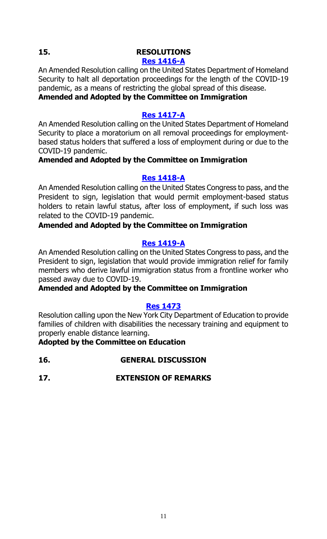#### **15. RESOLUTIONS**

#### **[Res 1416-A](https://legistar.council.nyc.gov/LegislationDetail.aspx?ID=4626495&GUID=8B55793D-F616-4FF4-997B-A59D3D81E469&Options=&Search=)**

An Amended Resolution calling on the United States Department of Homeland Security to halt all deportation proceedings for the length of the COVID-19 pandemic, as a means of restricting the global spread of this disease. **Amended and Adopted by the Committee on Immigration**

#### **[Res 1417-A](https://legistar.council.nyc.gov/LegislationDetail.aspx?ID=4626500&GUID=4DFA93F8-B50F-4BD9-90BC-51D6CC1E6DDF&Options=&Search=)**

An Amended Resolution calling on the United States Department of Homeland Security to place a moratorium on all removal proceedings for employmentbased status holders that suffered a loss of employment during or due to the COVID-19 pandemic.

#### **Amended and Adopted by the Committee on Immigration**

#### **[Res 1418-A](https://legistar.council.nyc.gov/LegislationDetail.aspx?ID=4626502&GUID=E1EA0FC4-D75B-40B2-9F0C-1DED46E7FFCB&Options=&Search=)**

An Amended Resolution calling on the United States Congress to pass, and the President to sign, legislation that would permit employment-based status holders to retain lawful status, after loss of employment, if such loss was related to the COVID-19 pandemic.

#### **Amended and Adopted by the Committee on Immigration**

#### **[Res 1419-A](https://legistar.council.nyc.gov/LegislationDetail.aspx?ID=4626501&GUID=FEBD21C0-8365-4815-B886-0B0CB885E842&Options=&Search=)**

An Amended Resolution calling on the United States Congress to pass, and the President to sign, legislation that would provide immigration relief for family members who derive lawful immigration status from a frontline worker who passed away due to COVID-19.

#### **Amended and Adopted by the Committee on Immigration**

#### **[Res 1473](https://legistar.council.nyc.gov/LegislationDetail.aspx?ID=4680251&GUID=383C061C-2E82-48B9-BCE1-2EC83C0A26D7&Options=&Search=)**

Resolution calling upon the New York City Department of Education to provide families of children with disabilities the necessary training and equipment to properly enable distance learning.

#### **Adopted by the Committee on Education**

- **16. GENERAL DISCUSSION**
- **17. EXTENSION OF REMARKS**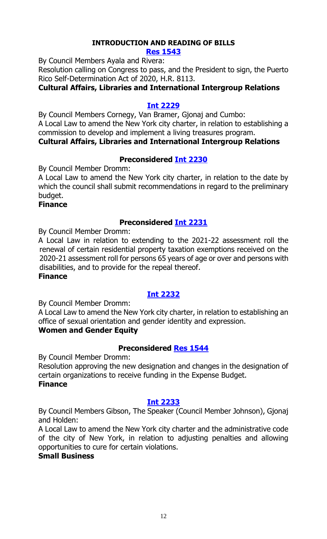# **INTRODUCTION AND READING OF BILLS**

#### **[Res 1543](https://legistar.council.nyc.gov/LegislationDetail.aspx?ID=4808653&GUID=547EF52B-80EC-4350-8E07-12C1B7B63673&Options=ID|Text|&Search=)**

By Council Members Ayala and Rivera:

Resolution calling on Congress to pass, and the President to sign, the Puerto Rico Self-Determination Act of 2020, H.R. 8113.

#### **Cultural Affairs, Libraries and International Intergroup Relations**

#### **[Int 2229](https://legistar.council.nyc.gov/LegislationDetail.aspx?ID=4808652&GUID=09349F58-2C0F-4941-A0EC-CFFBECA79E2F&Options=ID|Text|&Search=)**

By Council Members Cornegy, Van Bramer, Gjonaj and Cumbo: A Local Law to amend the New York city charter, in relation to establishing a commission to develop and implement a living treasures program. **Cultural Affairs, Libraries and International Intergroup Relations**

#### **Preconsidered [Int 2230](https://legistar.council.nyc.gov/LegislationDetail.aspx?ID=4806325&GUID=2E053009-925B-4881-BA1D-AF403E6C101F&Options=ID|Text|&Search=)**

By Council Member Dromm:

A Local Law to amend the New York city charter, in relation to the date by which the council shall submit recommendations in regard to the preliminary budget.

#### **Finance**

#### **Preconsidered [Int 2231](https://legistar.council.nyc.gov/LegislationDetail.aspx?ID=4806326&GUID=F7522510-845C-402F-8B59-A8481C640E52&Options=ID|Text|&Search=)**

By Council Member Dromm:

A Local Law in relation to extending to the 2021-22 assessment roll the renewal of certain residential property taxation exemptions received on the 2020-21 assessment roll for persons 65 years of age or over and persons with disabilities, and to provide for the repeal thereof.

#### **Finance**

### **[Int 2232](https://legistar.council.nyc.gov/LegislationDetail.aspx?ID=4808692&GUID=BD291EE3-16C3-4D0C-A5C3-5BC8698F8D42&Options=ID|Text|&Search=)**

By Council Member Dromm:

A Local Law to amend the New York city charter, in relation to establishing an office of sexual orientation and gender identity and expression.

#### **Women and Gender Equity**

#### **Preconsidered [Res 1544](https://legistar.council.nyc.gov/LegislationDetail.aspx?ID=4801474&GUID=5B588D58-E9B0-4B62-AAF2-550157B75E00&Options=ID|Text|&Search=)**

By Council Member Dromm:

Resolution approving the new designation and changes in the designation of certain organizations to receive funding in the Expense Budget. **Finance**

#### **[Int 2233](https://legistar.council.nyc.gov/LegislationDetail.aspx?ID=4805925&GUID=2C7D9F71-D49E-499E-A21F-F6A9D5C76B90&Options=ID|Text|&Search=)**

By Council Members Gibson, The Speaker (Council Member Johnson), Gjonaj and Holden:

A Local Law to amend the New York city charter and the administrative code of the city of New York, in relation to adjusting penalties and allowing opportunities to cure for certain violations.

#### **Small Business**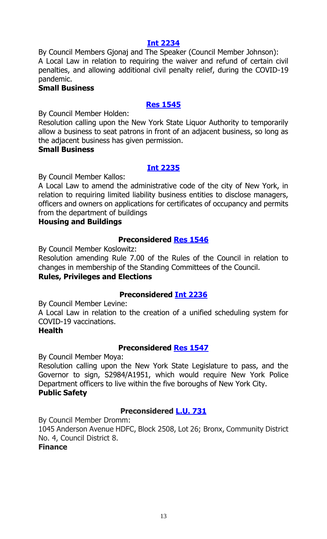#### **[Int 2234](https://legistar.council.nyc.gov/LegislationDetail.aspx?ID=4805924&GUID=326291CC-1EB4-4286-A7F0-BA0F0B92C87E&Options=ID|Text|&Search=)**

By Council Members Gjonaj and The Speaker (Council Member Johnson): A Local Law in relation to requiring the waiver and refund of certain civil penalties, and allowing additional civil penalty relief, during the COVID-19 pandemic.

#### **Small Business**

#### **[Res 1545](https://legistar.council.nyc.gov/LegislationDetail.aspx?ID=4808693&GUID=50CBB21D-DA29-441D-8653-5F0C4D058944&Options=ID|Text|&Search=)**

By Council Member Holden:

Resolution calling upon the New York State Liquor Authority to temporarily allow a business to seat patrons in front of an adjacent business, so long as the adjacent business has given permission.

#### **Small Business**

#### **[Int 2235](https://legistar.council.nyc.gov/LegislationDetail.aspx?ID=4808691&GUID=079B0DF3-37F7-4AC6-BA1B-88E312F85195&Options=ID|Text|&Search=)**

By Council Member Kallos:

A Local Law to amend the administrative code of the city of New York, in relation to requiring limited liability business entities to disclose managers, officers and owners on applications for certificates of occupancy and permits from the department of buildings

#### **Housing and Buildings**

#### **Preconsidered [Res 1546](https://legistar.council.nyc.gov/LegislationDetail.aspx?ID=4805849&GUID=6CC8E887-EEDC-4A01-BA25-CCF2BB549B44&Options=ID|Text|&Search=)**

By Council Member Koslowitz:

Resolution amending Rule 7.00 of the Rules of the Council in relation to changes in membership of the Standing Committees of the Council.

#### **Rules, Privileges and Elections**

#### **Preconsidered [Int 2236](https://legistar.council.nyc.gov/LegislationDetail.aspx?ID=4794734&GUID=FEA00F7E-F9A6-4875-87C6-BD4E6033CA87&Options=ID|Text|&Search=)**

By Council Member Levine:

A Local Law in relation to the creation of a unified scheduling system for COVID-19 vaccinations.

#### **Health**

#### **Preconsidered [Res 1547](https://legistar.council.nyc.gov/LegislationDetail.aspx?ID=4797709&GUID=0143D39D-5DEB-4910-BC8C-2B1FFB0C37FE&Options=ID|Text|&Search=)**

By Council Member Moya:

Resolution calling upon the New York State Legislature to pass, and the Governor to sign, S2984/A1951, which would require New York Police Department officers to live within the five boroughs of New York City. **Public Safety**

#### **Preconsidered [L.U. 731](https://legistar.council.nyc.gov/LegislationDetail.aspx?ID=4806327&GUID=2E1D1D31-13B8-4ECD-8A43-6C357F8FF0CE&Options=ID|Text|&Search=)**

By Council Member Dromm:

1045 Anderson Avenue HDFC, Block 2508, Lot 26; Bronx, Community District No. 4, Council District 8.

#### **Finance**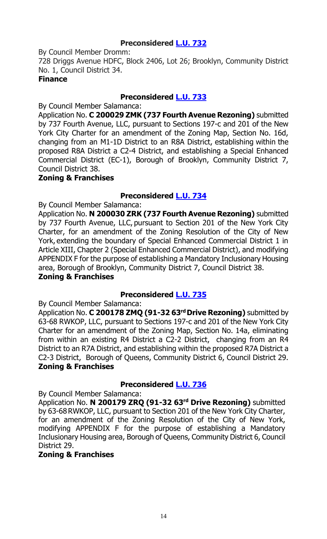#### **Preconsidered [L.U. 732](https://legistar.council.nyc.gov/LegislationDetail.aspx?ID=4806339&GUID=A47CFDCC-E73D-42AD-8EE5-11B6CF3BF1DA&Options=ID|Text|&Search=)**

By Council Member Dromm:

728 Driggs Avenue HDFC, Block 2406, Lot 26; Brooklyn, Community District No. 1, Council District 34.

#### **Finance**

#### **Preconsidered [L.U. 733](https://legistar.council.nyc.gov/LegislationDetail.aspx?ID=4800325&GUID=8EB3BCA2-B053-45B6-B93F-C294901E4BDA&Options=ID|Text|&Search=)**

By Council Member Salamanca:

Application No. **C 200029 ZMK (737 Fourth Avenue Rezoning)** submitted by 737 Fourth Avenue, LLC, pursuant to Sections 197-c and 201 of the New York City Charter for an amendment of the Zoning Map, Section No. 16d, changing from an M1-1D District to an R8A District, establishing within the proposed R8A District a C2-4 District, and establishing a Special Enhanced Commercial District (EC-1), Borough of Brooklyn, Community District 7, Council District 38.

#### **Zoning & Franchises**

### **Preconsidered [L.U. 734](https://legistar.council.nyc.gov/LegislationDetail.aspx?ID=4800346&GUID=1BD94428-F84E-464E-8BB4-4B9CD188FD1D&Options=ID|Text|&Search=)**

By Council Member Salamanca:

Application No. **N 200030 ZRK (737 Fourth Avenue Rezoning)** submitted by 737 Fourth Avenue, LLC, pursuant to Section 201 of the New York City Charter, for an amendment of the Zoning Resolution of the City of New York, extending the boundary of Special Enhanced Commercial District 1 in Article XIII, Chapter 2 (Special Enhanced Commercial District), and modifying APPENDIX F for the purpose of establishing a Mandatory Inclusionary Housing area, Borough of Brooklyn, Community District 7, Council District 38. **Zoning & Franchises**

### **Preconsidered [L.U. 735](https://legistar.council.nyc.gov/LegislationDetail.aspx?ID=4800347&GUID=6E3CDE08-5FED-4C9E-849C-0E706559F90D&Options=ID|Text|&Search=)**

By Council Member Salamanca:

Application No. **C 200178 ZMQ (91-32 63rd Drive Rezoning)** submitted by 63-68 RWKOP, LLC, pursuant to Sections 197-c and 201 of the New York City Charter for an amendment of the Zoning Map, Section No. 14a, eliminating from within an existing R4 District a C2-2 District, changing from an R4 District to an R7A District, and establishing within the proposed R7A District a C2-3 District, Borough of Queens, Community District 6, Council District 29. **Zoning & Franchises**

### **Preconsidered [L.U. 736](https://legistar.council.nyc.gov/LegislationDetail.aspx?ID=4800348&GUID=C3B3003A-5240-40ED-8B7E-FB451895BDA0&Options=ID|Text|&Search=)**

By Council Member Salamanca:

Application No. **N 200179 ZRQ (91-32 63rd Drive Rezoning)** submitted by 63-68 RWKOP, LLC, pursuant to Section 201 of the New York City Charter, for an amendment of the Zoning Resolution of the City of New York, modifying APPENDIX F for the purpose of establishing a Mandatory Inclusionary Housing area, Borough of Queens, Community District 6, Council District 29.

#### **Zoning & Franchises**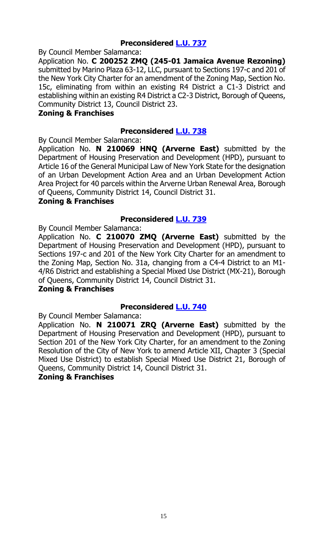#### **Preconsidered [L.U. 737](https://legistar.council.nyc.gov/LegislationDetail.aspx?ID=4800349&GUID=BD7F6DAD-E3EC-4090-973F-4E493E28606B&Options=ID|Text|&Search=)**

By Council Member Salamanca:

Application No. **C 200252 ZMQ (245-01 Jamaica Avenue Rezoning)** submitted by Marino Plaza 63-12, LLC, pursuant to Sections 197-c and 201 of the New York City Charter for an amendment of the Zoning Map, Section No. 15c, eliminating from within an existing R4 District a C1-3 District and establishing within an existing R4 District a C2-3 District, Borough of Queens, Community District 13, Council District 23.

#### **Zoning & Franchises**

#### **Preconsidered [L.U. 738](https://legistar.council.nyc.gov/LegislationDetail.aspx?ID=4800350&GUID=B26FBD02-A390-4639-A8D8-CA3232424D37&Options=ID|Text|&Search=)**

By Council Member Salamanca:

Application No. **N 210069 HNQ (Arverne East)** submitted by the Department of Housing Preservation and Development (HPD), pursuant to Article 16 of the General Municipal Law of New York State for the designation of an Urban Development Action Area and an Urban Development Action Area Project for 40 parcels within the Arverne Urban Renewal Area, Borough of Queens, Community District 14, Council District 31.

#### **Zoning & Franchises**

#### **Preconsidered [L.U. 739](https://legistar.council.nyc.gov/LegislationDetail.aspx?ID=4800351&GUID=8FD377A6-27F2-483D-BA16-E37C626C4130&Options=ID|Text|&Search=)**

By Council Member Salamanca:

Application No. **C 210070 ZMQ (Arverne East)** submitted by the Department of Housing Preservation and Development (HPD), pursuant to Sections 197-c and 201 of the New York City Charter for an amendment to the Zoning Map, Section No. 31a, changing from a C4-4 District to an M1- 4/R6 District and establishing a Special Mixed Use District (MX-21), Borough of Queens, Community District 14, Council District 31.

#### **Zoning & Franchises**

#### **Preconsidered [L.U. 740](https://legistar.council.nyc.gov/LegislationDetail.aspx?ID=4800367&GUID=85BAFD66-10CD-41B1-B98E-ABAA529B2D75&Options=ID|Text|&Search=)**

By Council Member Salamanca:

Application No. **N 210071 ZRQ (Arverne East)** submitted by the Department of Housing Preservation and Development (HPD), pursuant to Section 201 of the New York City Charter, for an amendment to the Zoning Resolution of the City of New York to amend Article XII, Chapter 3 (Special Mixed Use District) to establish Special Mixed Use District 21, Borough of Queens, Community District 14, Council District 31.

#### **Zoning & Franchises**